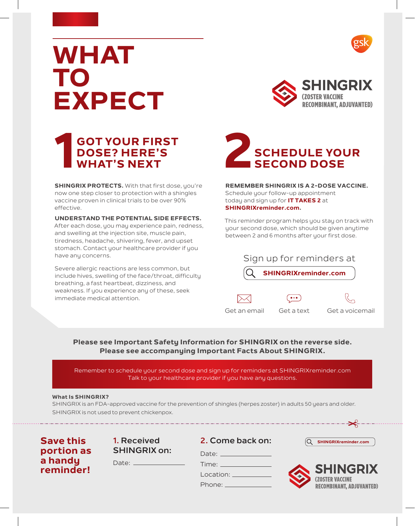

# **WHAT TO EXPECT**



## **GOT YOUR FIRST DOSE? HERE'S BOT YOUR FIRST<br>DOSE? HERE'S<br>WHAT'S NEXT**

**SHINGRIX PROTECTS.** With that first dose, you're now one step closer to protection with a shingles vaccine proven in clinical trials to be over 90% effective.

**UNDERSTAND THE POTENTIAL SIDE EFFECTS.**  After each dose, you may experience pain, redness, and swelling at the injection site, muscle pain, tiredness, headache, shivering, fever, and upset stomach. Contact your healthcare provider if you have any concerns.

Severe allergic reactions are less common, but include hives, swelling of the face/throat, difficulty breathing, a fast heartbeat, dizziness, and weakness. If you experience any of these, seek immediate medical attention.



**REMEMBER SHINGRIX IS A 2-DOSE VACCINE.** Schedule your follow-up appointment today and sign up for **IT TAKES 2** at **SHINGRIXreminder.com.**

This reminder program helps you stay on track with your second dose, which should be given anytime between 2 and 6 months after your first dose.

| Sign up for reminders at    |  |  |
|-----------------------------|--|--|
| <b>SHINGRIXreminder.com</b> |  |  |
|                             |  |  |

Get an email Get a text Get a voicemail

### **Please see Important Safety Information for SHINGRIX on the reverse side. Please see accompanying Important Facts About SHINGRIX.**

Remember to schedule your second dose and sign up for reminders at SHINGRIXreminder.com Talk to your healthcare provider if you have any questions.

### **What Is SHINGRIX?**

SHINGRIX is an FDA-approved vaccine for the prevention of shingles (herpes zoster) in adults 50 years and older. SHINGRIX is not used to prevent chickenpox.

**Save this portion as a handy reminder!**

**1. Received SHINGRIX on:**

Date:

**2. Come back on:**  $\sqrt{Q}$  **SHINGRIXreminder.com** 

Time: \_\_\_\_\_ Location: \_\_ Phone:

Date: